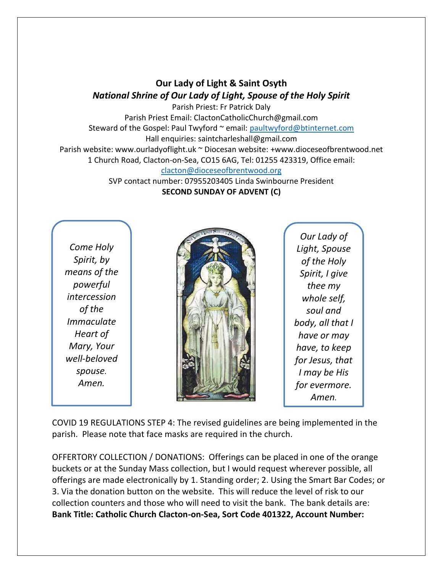# **Our Lady of Light & Saint Osyth** *National Shrine of Our Lady of Light, Spouse of the Holy Spirit*

Parish Priest: Fr Patrick Daly Parish Priest Email: ClactonCatholicChurch@gmail.com Steward of the Gospel: Paul Twyford ~ email: [paultwyford@btinternet.com](mailto:paultwyford@btinternet.com) Hall enquiries: saintcharleshall@gmail.com Parish website: www.ourladyoflight.uk ~ Diocesan website: +www.dioceseofbrentwood.net 1 Church Road, Clacton-on-Sea, CO15 6AG, Tel: 01255 423319, Office email: [clacton@dioceseofbrentwood.org](mailto:clacton@dioceseofbrentwood.org)

SVP contact number: 07955203405 Linda Swinbourne President **SECOND SUNDAY OF ADVENT (C)**

*Come Holy Spirit, by means of the powerful intercession of the Immaculate Heart of Mary, Your well-beloved spouse. Amen.*



*Our Lady of Light, Spouse of the Holy Spirit, I give thee my whole self, soul and body, all that I have or may have, to keep for Jesus, that I may be His for evermore. Amen.*

COVID 19 REGULATIONS STEP 4: The revised guidelines are being implemented in the parish. Please note that face masks are required in the church.

OFFERTORY COLLECTION / DONATIONS: Offerings can be placed in one of the orange buckets or at the Sunday Mass collection, but I would request wherever possible, all offerings are made electronically by 1. Standing order; 2. Using the Smart Bar Codes; or 3. Via the donation button on the website. This will reduce the level of risk to our collection counters and those who will need to visit the bank. The bank details are: **Bank Title: Catholic Church Clacton-on-Sea, Sort Code 401322, Account Number:**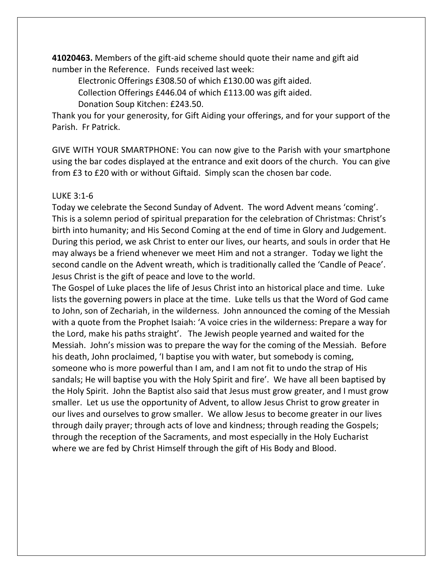**41020463.** Members of the gift-aid scheme should quote their name and gift aid number in the Reference. Funds received last week:

Electronic Offerings £308.50 of which £130.00 was gift aided.

Collection Offerings £446.04 of which £113.00 was gift aided.

Donation Soup Kitchen: £243.50.

Thank you for your generosity, for Gift Aiding your offerings, and for your support of the Parish. Fr Patrick.

GIVE WITH YOUR SMARTPHONE: You can now give to the Parish with your smartphone using the bar codes displayed at the entrance and exit doors of the church. You can give from £3 to £20 with or without Giftaid. Simply scan the chosen bar code.

### LUKE 3:1-6

Today we celebrate the Second Sunday of Advent. The word Advent means 'coming'. This is a solemn period of spiritual preparation for the celebration of Christmas: Christ's birth into humanity; and His Second Coming at the end of time in Glory and Judgement. During this period, we ask Christ to enter our lives, our hearts, and souls in order that He may always be a friend whenever we meet Him and not a stranger. Today we light the second candle on the Advent wreath, which is traditionally called the 'Candle of Peace'. Jesus Christ is the gift of peace and love to the world.

The Gospel of Luke places the life of Jesus Christ into an historical place and time. Luke lists the governing powers in place at the time. Luke tells us that the Word of God came to John, son of Zechariah, in the wilderness. John announced the coming of the Messiah with a quote from the Prophet Isaiah: 'A voice cries in the wilderness: Prepare a way for the Lord, make his paths straight'. The Jewish people yearned and waited for the Messiah. John's mission was to prepare the way for the coming of the Messiah. Before his death, John proclaimed, 'I baptise you with water, but somebody is coming, someone who is more powerful than I am, and I am not fit to undo the strap of His sandals; He will baptise you with the Holy Spirit and fire'. We have all been baptised by the Holy Spirit. John the Baptist also said that Jesus must grow greater, and I must grow smaller. Let us use the opportunity of Advent, to allow Jesus Christ to grow greater in our lives and ourselves to grow smaller. We allow Jesus to become greater in our lives through daily prayer; through acts of love and kindness; through reading the Gospels; through the reception of the Sacraments, and most especially in the Holy Eucharist where we are fed by Christ Himself through the gift of His Body and Blood.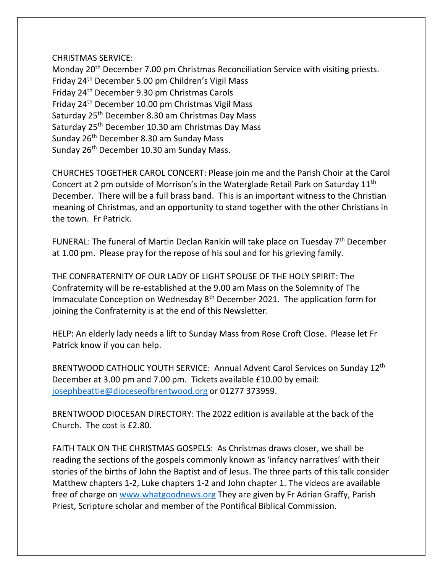#### CHRISTMAS SERVICE:

Monday 20<sup>th</sup> December 7.00 pm Christmas Reconciliation Service with visiting priests. Friday 24th December 5.00 pm Children's Vigil Mass Friday 24th December 9.30 pm Christmas Carols Friday 24th December 10.00 pm Christmas Vigil Mass Saturday 25<sup>th</sup> December 8.30 am Christmas Day Mass Saturday 25<sup>th</sup> December 10.30 am Christmas Day Mass Sunday 26<sup>th</sup> December 8.30 am Sunday Mass Sunday 26<sup>th</sup> December 10.30 am Sunday Mass.

CHURCHES TOGETHER CAROL CONCERT: Please join me and the Parish Choir at the Carol Concert at 2 pm outside of Morrison's in the Waterglade Retail Park on Saturday 11th December. There will be a full brass band. This is an important witness to the Christian meaning of Christmas, and an opportunity to stand together with the other Christians in the town. Fr Patrick.

FUNERAL: The funeral of Martin Declan Rankin will take place on Tuesday 7<sup>th</sup> December at 1.00 pm. Please pray for the repose of his soul and for his grieving family.

THE CONFRATERNITY OF OUR LADY OF LIGHT SPOUSE OF THE HOLY SPIRIT: The Confraternity will be re-established at the 9.00 am Mass on the Solemnity of The Immaculate Conception on Wednesday 8<sup>th</sup> December 2021. The application form for joining the Confraternity is at the end of this Newsletter.

HELP: An elderly lady needs a lift to Sunday Mass from Rose Croft Close. Please let Fr Patrick know if you can help.

BRENTWOOD CATHOLIC YOUTH SERVICE: Annual Advent Carol Services on Sunday 12<sup>th</sup> December at 3.00 pm and 7.00 pm. Tickets available £10.00 by email: [josephbeattie@dioceseofbrentwood.org](mailto:josephbeattie@dioceseofbrentwood.org) or 01277 373959.

BRENTWOOD DIOCESAN DIRECTORY: The 2022 edition is available at the back of the Church. The cost is £2.80.

FAITH TALK ON THE CHRISTMAS GOSPELS: As Christmas draws closer, we shall be reading the sections of the gospels commonly known as 'infancy narratives' with their stories of the births of John the Baptist and of Jesus. The three parts of this talk consider Matthew chapters 1-2, Luke chapters 1-2 and John chapter 1. The videos are available free of charge on [www.whatgoodnews.org](http://www.whatgoodnews.org/) They are given by Fr Adrian Graffy, Parish Priest, Scripture scholar and member of the Pontifical Biblical Commission.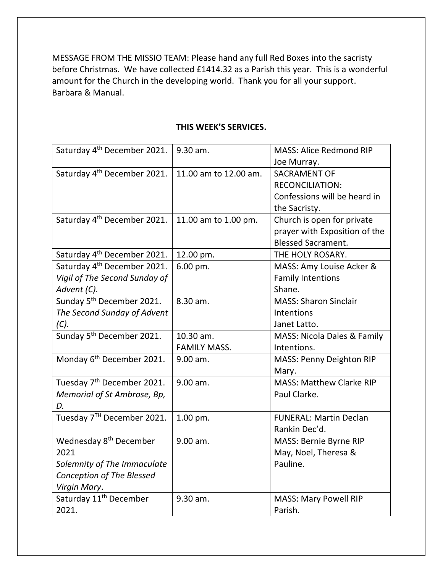MESSAGE FROM THE MISSIO TEAM: Please hand any full Red Boxes into the sacristy before Christmas. We have collected £1414.32 as a Parish this year. This is a wonderful amount for the Church in the developing world. Thank you for all your support. Barbara & Manual.

| Saturday 4 <sup>th</sup> December 2021. | 9.30 am.              | <b>MASS: Alice Redmond RIP</b>  |
|-----------------------------------------|-----------------------|---------------------------------|
|                                         |                       | Joe Murray.                     |
| Saturday 4 <sup>th</sup> December 2021. | 11.00 am to 12.00 am. | <b>SACRAMENT OF</b>             |
|                                         |                       | <b>RECONCILIATION:</b>          |
|                                         |                       | Confessions will be heard in    |
|                                         |                       | the Sacristy.                   |
| Saturday 4 <sup>th</sup> December 2021. | 11.00 am to 1.00 pm.  | Church is open for private      |
|                                         |                       | prayer with Exposition of the   |
|                                         |                       | <b>Blessed Sacrament.</b>       |
| Saturday 4 <sup>th</sup> December 2021. | 12.00 pm.             | THE HOLY ROSARY.                |
| Saturday 4 <sup>th</sup> December 2021. | 6.00 pm.              | MASS: Amy Louise Acker &        |
| Vigil of The Second Sunday of           |                       | <b>Family Intentions</b>        |
| Advent (C).                             |                       | Shane.                          |
| Sunday 5 <sup>th</sup> December 2021.   | 8.30 am.              | <b>MASS: Sharon Sinclair</b>    |
| The Second Sunday of Advent             |                       | Intentions                      |
| (C).                                    |                       | Janet Latto.                    |
| Sunday 5 <sup>th</sup> December 2021.   | 10.30 am.             | MASS: Nicola Dales & Family     |
|                                         | <b>FAMILY MASS.</b>   | Intentions.                     |
| Monday 6 <sup>th</sup> December 2021.   | 9.00 am.              | MASS: Penny Deighton RIP        |
|                                         |                       | Mary.                           |
| Tuesday 7 <sup>th</sup> December 2021.  | 9.00 am.              | <b>MASS: Matthew Clarke RIP</b> |
| Memorial of St Ambrose, Bp,             |                       | Paul Clarke.                    |
| D.                                      |                       |                                 |
| Tuesday 7TH December 2021.              | 1.00 pm.              | <b>FUNERAL: Martin Declan</b>   |
|                                         |                       | Rankin Dec'd.                   |
| Wednesday 8 <sup>th</sup> December      | 9.00 am.              | MASS: Bernie Byrne RIP          |
| 2021                                    |                       | May, Noel, Theresa &            |
| Solemnity of The Immaculate             |                       | Pauline.                        |
| Conception of The Blessed               |                       |                                 |
| Virgin Mary.                            |                       |                                 |
| Saturday 11 <sup>th</sup> December      | 9.30 am.              | <b>MASS: Mary Powell RIP</b>    |
| 2021.                                   |                       | Parish.                         |

#### **THIS WEEK'S SERVICES.**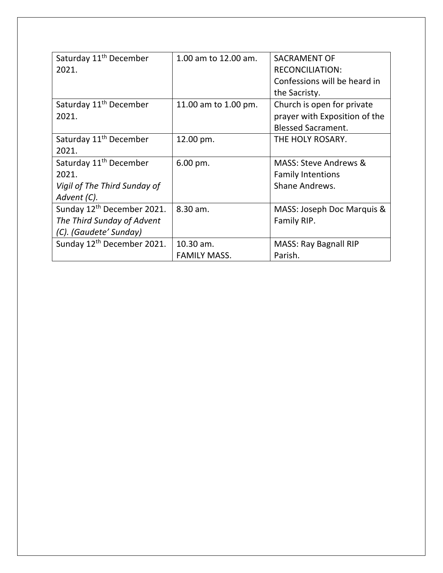| Saturday 11 <sup>th</sup> December     | 1.00 am to 12.00 am. | <b>SACRAMENT OF</b>              |
|----------------------------------------|----------------------|----------------------------------|
| 2021.                                  |                      | <b>RECONCILIATION:</b>           |
|                                        |                      | Confessions will be heard in     |
|                                        |                      | the Sacristy.                    |
| Saturday 11 <sup>th</sup> December     | 11.00 am to 1.00 pm. | Church is open for private       |
| 2021.                                  |                      | prayer with Exposition of the    |
|                                        |                      | <b>Blessed Sacrament.</b>        |
| Saturday 11 <sup>th</sup> December     | 12.00 pm.            | THE HOLY ROSARY.                 |
| 2021.                                  |                      |                                  |
| Saturday 11 <sup>th</sup> December     | $6.00$ pm.           | <b>MASS: Steve Andrews &amp;</b> |
| 2021.                                  |                      | <b>Family Intentions</b>         |
| Vigil of The Third Sunday of           |                      | Shane Andrews.                   |
| Advent (C).                            |                      |                                  |
| Sunday 12 <sup>th</sup> December 2021. | 8.30 am.             | MASS: Joseph Doc Marquis &       |
| The Third Sunday of Advent             |                      | Family RIP.                      |
| (C). (Gaudete' Sunday)                 |                      |                                  |
| Sunday 12 <sup>th</sup> December 2021. | 10.30 am.            | <b>MASS: Ray Bagnall RIP</b>     |
|                                        | <b>FAMILY MASS.</b>  | Parish.                          |